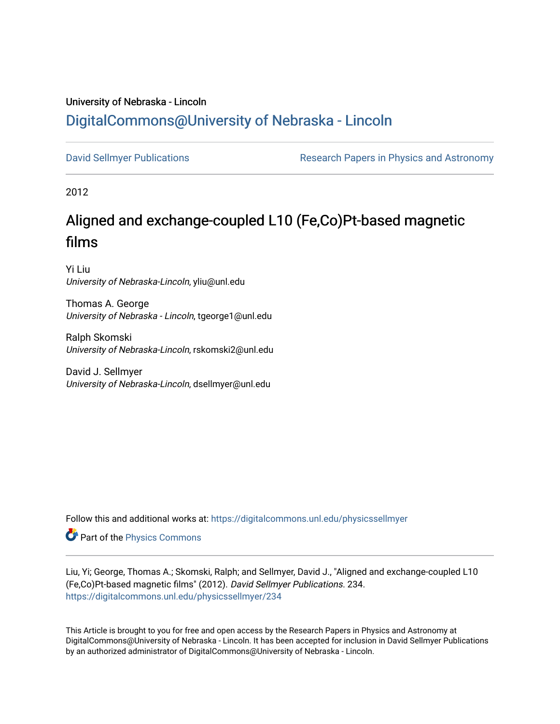## University of Nebraska - Lincoln [DigitalCommons@University of Nebraska - Lincoln](https://digitalcommons.unl.edu/)

[David Sellmyer Publications](https://digitalcommons.unl.edu/physicssellmyer) **Research Papers in Physics and Astronomy** 

2012

# Aligned and exchange-coupled L10 (Fe,Co)Pt-based magnetic films

Yi Liu University of Nebraska-Lincoln, yliu@unl.edu

Thomas A. George University of Nebraska - Lincoln, tgeorge1@unl.edu

Ralph Skomski University of Nebraska-Lincoln, rskomski2@unl.edu

David J. Sellmyer University of Nebraska-Lincoln, dsellmyer@unl.edu

Follow this and additional works at: [https://digitalcommons.unl.edu/physicssellmyer](https://digitalcommons.unl.edu/physicssellmyer?utm_source=digitalcommons.unl.edu%2Fphysicssellmyer%2F234&utm_medium=PDF&utm_campaign=PDFCoverPages) 

Part of the [Physics Commons](http://network.bepress.com/hgg/discipline/193?utm_source=digitalcommons.unl.edu%2Fphysicssellmyer%2F234&utm_medium=PDF&utm_campaign=PDFCoverPages)

Liu, Yi; George, Thomas A.; Skomski, Ralph; and Sellmyer, David J., "Aligned and exchange-coupled L10 (Fe,Co)Pt-based magnetic films" (2012). David Sellmyer Publications. 234. [https://digitalcommons.unl.edu/physicssellmyer/234](https://digitalcommons.unl.edu/physicssellmyer/234?utm_source=digitalcommons.unl.edu%2Fphysicssellmyer%2F234&utm_medium=PDF&utm_campaign=PDFCoverPages) 

This Article is brought to you for free and open access by the Research Papers in Physics and Astronomy at DigitalCommons@University of Nebraska - Lincoln. It has been accepted for inclusion in David Sellmyer Publications by an authorized administrator of DigitalCommons@University of Nebraska - Lincoln.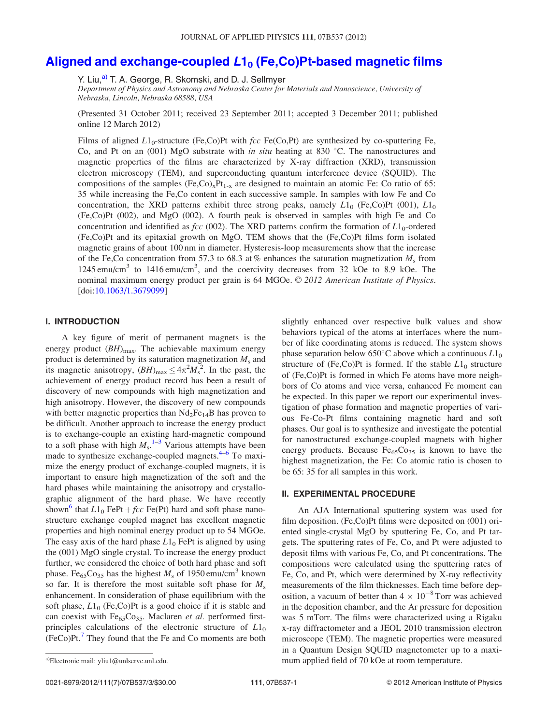### [Aligned and exchange-coupled](http://dx.doi.org/10.1063/1.3679099)  $L1_0$  [\(Fe,Co\)Pt-based magnetic films](http://dx.doi.org/10.1063/1.3679099)

Y. Liu,<sup>a)</sup> T. A. George, R. Skomski, and D. J. Sellmyer

Department of Physics and Astronomy and Nebraska Center for Materials and Nanoscience, University of Nebraska, Lincoln, Nebraska 68588, USA

(Presented 31 October 2011; received 23 September 2011; accepted 3 December 2011; published online 12 March 2012)

Films of aligned  $L1_0$ -structure (Fe,Co)Pt with  $fcc \text{Fe(Co,Pt)}$  are synthesized by co-sputtering Fe, Co, and Pt on an (001) MgO substrate with in situ heating at 830 °C. The nanostructures and magnetic properties of the films are characterized by X-ray diffraction (XRD), transmission electron microscopy (TEM), and superconducting quantum interference device (SQUID). The compositions of the samples  $(Fe, Co)_xPt_{1-x}$  are designed to maintain an atomic Fe: Co ratio of 65: 35 while increasing the Fe,Co content in each successive sample. In samples with low Fe and Co concentration, the XRD patterns exhibit three strong peaks, namely  $L1_0$  (Fe,Co)Pt (001),  $L1_0$ (Fe,Co)Pt (002), and MgO (002). A fourth peak is observed in samples with high Fe and Co concentration and identified as *fcc* (002). The XRD patterns confirm the formation of  $L1_0$ -ordered (Fe,Co)Pt and its epitaxial growth on MgO. TEM shows that the (Fe,Co)Pt films form isolated magnetic grains of about 100 nm in diameter. Hysteresis-loop measurements show that the increase of the Fe,Co concentration from 57.3 to 68.3 at % enhances the saturation magnetization  $M_s$  from 1245 emu/cm<sup>3</sup> to 1416 emu/cm<sup>3</sup>, and the coercivity decreases from 32 kOe to 8.9 kOe. The nominal maximum energy product per grain is  $64$  MGOe.  $\odot$  2012 American Institute of Physics. [doi:[10.1063/1.3679099\]](http://dx.doi.org/10.1063/1.3679099)

#### I. INTRODUCTION

A key figure of merit of permanent magnets is the energy product  $(BH)_{\text{max}}$ . The achievable maximum energy product is determined by its saturation magnetization  $M_s$  and its magnetic anisotropy,  $(BH)_{\text{max}} \leq 4\pi^2 M_s^2$ . In the past, the achievement of energy product record has been a result of discovery of new compounds with high magnetization and high anisotropy. However, the discovery of new compounds with better magnetic properties than  $Nd<sub>2</sub>Fe<sub>14</sub>B$  has proven to be difficult. Another approach to increase the energy product is to exchange-couple an existing hard-magnetic compound to a soft phase with high  $M_s$ .<sup>[1](#page-3-0)–[3](#page-3-0)</sup> Various attempts have been made to synthesize exchange-coupled magnets. $4-6$  To maximize the energy product of exchange-coupled magnets, it is important to ensure high magnetization of the soft and the hard phases while maintaining the anisotropy and crystallographic alignment of the hard phase. We have recently shown<sup>6</sup> that  $L1_0$  FePt + *fcc* Fe(Pt) hard and soft phase nanostructure exchange coupled magnet has excellent magnetic properties and high nominal energy product up to 54 MGOe. The easy axis of the hard phase  $L1_0$  FePt is aligned by using the (001) MgO single crystal. To increase the energy product further, we considered the choice of both hard phase and soft phase. Fe<sub>65</sub>Co<sub>35</sub> has the highest  $M_s$  of 1950 emu/cm<sup>3</sup> known so far. It is therefore the most suitable soft phase for  $M_s$ enhancement. In consideration of phase equilibrium with the soft phase,  $L1_0$  (Fe,Co)Pt is a good choice if it is stable and can coexist with  $Fe_{65}Co_{35}$ . Maclaren et al. performed firstprinciples calculations of the electronic structure of  $L1_0$  $(FeCo)Pt.<sup>7</sup>$  $(FeCo)Pt.<sup>7</sup>$  $(FeCo)Pt.<sup>7</sup>$  They found that the Fe and Co moments are both slightly enhanced over respective bulk values and show behaviors typical of the atoms at interfaces where the number of like coordinating atoms is reduced. The system shows phase separation below 650°C above which a continuous  $L1_0$ structure of (Fe,Co)Pt is formed. If the stable  $L1_0$  structure of (Fe,Co)Pt is formed in which Fe atoms have more neighbors of Co atoms and vice versa, enhanced Fe moment can be expected. In this paper we report our experimental investigation of phase formation and magnetic properties of various Fe-Co-Pt films containing magnetic hard and soft phases. Our goal is to synthesize and investigate the potential for nanostructured exchange-coupled magnets with higher energy products. Because  $Fe_{65}Co_{35}$  is known to have the highest magnetization, the Fe: Co atomic ratio is chosen to be 65: 35 for all samples in this work.

#### II. EXPERIMENTAL PROCEDURE

An AJA International sputtering system was used for film deposition. (Fe,Co)Pt films were deposited on (001) oriented single-crystal MgO by sputtering Fe, Co, and Pt targets. The sputtering rates of Fe, Co, and Pt were adjusted to deposit films with various Fe, Co, and Pt concentrations. The compositions were calculated using the sputtering rates of Fe, Co, and Pt, which were determined by X-ray reflectivity measurements of the film thicknesses. Each time before deposition, a vacuum of better than  $4 \times 10^{-8}$  Torr was achieved in the deposition chamber, and the Ar pressure for deposition was 5 mTorr. The films were characterized using a Rigaku x-ray diffractometer and a JEOL 2010 transmission electron microscope (TEM). The magnetic properties were measured in a Quantum Design SQUID magnetometer up to a maxia)Electronic mail: yliu1@unlserve.unl.edu. etc. a) etc. a) mum applied field of 70 kOe at room temperature.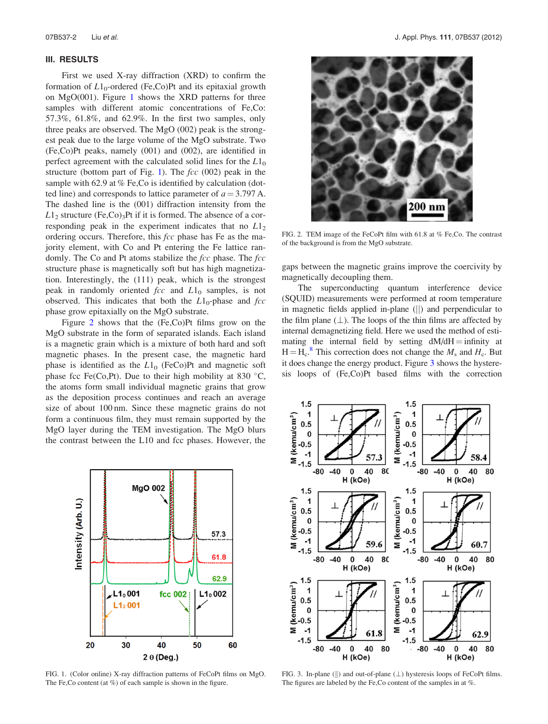#### <span id="page-2-0"></span>III. RESULTS

First we used X-ray diffraction (XRD) to confirm the formation of  $L1_0$ -ordered (Fe,Co)Pt and its epitaxial growth on MgO(001). Figure 1 shows the XRD patterns for three samples with different atomic concentrations of Fe,Co: 57.3%, 61.8%, and 62.9%. In the first two samples, only three peaks are observed. The MgO (002) peak is the strongest peak due to the large volume of the MgO substrate. Two (Fe,Co)Pt peaks, namely (001) and (002), are identified in perfect agreement with the calculated solid lines for the  $L1_0$ structure (bottom part of Fig. 1). The  $fcc (002)$  peak in the sample with 62.9 at % Fe, Co is identified by calculation (dotted line) and corresponds to lattice parameter of  $a = 3.797$  A. The dashed line is the (001) diffraction intensity from the  $L1<sub>2</sub>$  structure (Fe,Co)<sub>3</sub>Pt if it is formed. The absence of a corresponding peak in the experiment indicates that no  $L1<sub>2</sub>$ ordering occurs. Therefore, this fcc phase has Fe as the majority element, with Co and Pt entering the Fe lattice randomly. The Co and Pt atoms stabilize the fcc phase. The fcc structure phase is magnetically soft but has high magnetization. Interestingly, the (111) peak, which is the strongest peak in randomly oriented  $fcc$  and  $L1_0$  samples, is not observed. This indicates that both the  $L1_0$ -phase and fcc phase grow epitaxially on the MgO substrate.

Figure 2 shows that the (Fe,Co)Pt films grow on the MgO substrate in the form of separated islands. Each island is a magnetic grain which is a mixture of both hard and soft magnetic phases. In the present case, the magnetic hard phase is identified as the  $L1_0$  (FeCo)Pt and magnetic soft phase fcc Fe(Co,Pt). Due to their high mobility at 830  $^{\circ}$ C, the atoms form small individual magnetic grains that grow as the deposition process continues and reach an average size of about 100 nm. Since these magnetic grains do not form a continuous film, they must remain supported by the MgO layer during the TEM investigation. The MgO blurs the contrast between the L10 and fcc phases. However, the

**MgO 002** ntensity (Arb. U.) 57.3 61.8 62.9  $L1_0$ 001  $L1<sub>0</sub>002$ fcc 002  $L1<sub>2</sub>$ 001 30 40 20 50 60  $2 \theta$  (Deg.)

FIG. 1. (Color online) X-ray diffraction patterns of FeCoPt films on MgO. The Fe, Co content (at %) of each sample is shown in the figure.



FIG. 2. TEM image of the FeCoPt film with 61.8 at % Fe,Co. The contrast of the background is from the MgO substrate.

gaps between the magnetic grains improve the coercivity by magnetically decoupling them.

The superconducting quantum interference device (SQUID) measurements were performed at room temperature in magnetic fields applied in-plane  $(||)$  and perpendicular to the film plane  $(\perp)$ . The loops of the thin films are affected by internal demagnetizing field. Here we used the method of estimating the internal field by setting  $dM/dH =$  infinity at  $H = H_c^8$  $H = H_c^8$ . This correction does not change the  $M_s$  and  $H_c$ . But it does change the energy product. Figure 3 shows the hysteresis loops of (Fe,Co)Pt based films with the correction



FIG. 3. In-plane ( $\|$ ) and out-of-plane ( $\perp$ ) hysteresis loops of FeCoPt films. The figures are labeled by the Fe,Co content of the samples in at %.